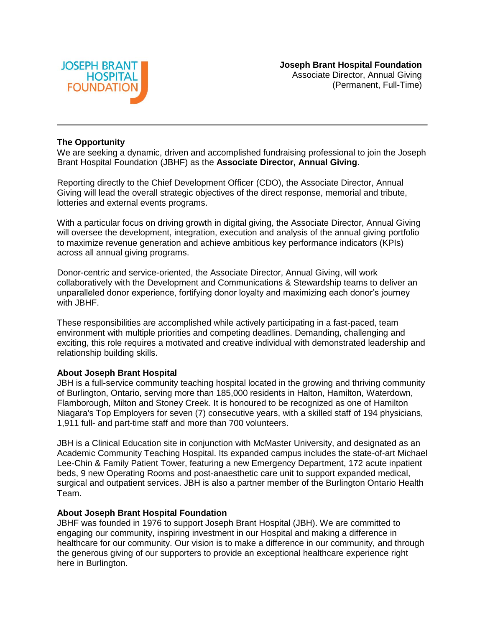

### **The Opportunity**

We are seeking a dynamic, driven and accomplished fundraising professional to join the Joseph Brant Hospital Foundation (JBHF) as the **Associate Director, Annual Giving**.

Reporting directly to the Chief Development Officer (CDO), the Associate Director, Annual Giving will lead the overall strategic objectives of the direct response, memorial and tribute, lotteries and external events programs.

With a particular focus on driving growth in digital giving, the Associate Director, Annual Giving will oversee the development, integration, execution and analysis of the annual giving portfolio to maximize revenue generation and achieve ambitious key performance indicators (KPIs) across all annual giving programs.

Donor-centric and service-oriented, the Associate Director, Annual Giving, will work collaboratively with the Development and Communications & Stewardship teams to deliver an unparalleled donor experience, fortifying donor loyalty and maximizing each donor's journey with JBHF.

These responsibilities are accomplished while actively participating in a fast-paced, team environment with multiple priorities and competing deadlines. Demanding, challenging and exciting, this role requires a motivated and creative individual with demonstrated leadership and relationship building skills.

# **About Joseph Brant Hospital**

JBH is a full-service community teaching hospital located in the growing and thriving community of Burlington, Ontario, serving more than 185,000 residents in Halton, Hamilton, Waterdown, Flamborough, Milton and Stoney Creek. It is honoured to be recognized as one of Hamilton Niagara's Top Employers for seven (7) consecutive years, with a skilled staff of 194 physicians, 1,911 full- and part-time staff and more than 700 volunteers.

JBH is a Clinical Education site in conjunction with McMaster University, and designated as an Academic Community Teaching Hospital. Its expanded campus includes the state-of-art Michael Lee-Chin & Family Patient Tower, featuring a new Emergency Department, 172 acute inpatient beds, 9 new Operating Rooms and post-anaesthetic care unit to support expanded medical, surgical and outpatient services. JBH is also a partner member of the Burlington Ontario Health Team.

#### **About Joseph Brant Hospital Foundation**

JBHF was founded in 1976 to support Joseph Brant Hospital (JBH). We are committed to engaging our community, inspiring investment in our Hospital and making a difference in healthcare for our community. Our vision is to make a difference in our community, and through the generous giving of our supporters to provide an exceptional healthcare experience right here in Burlington.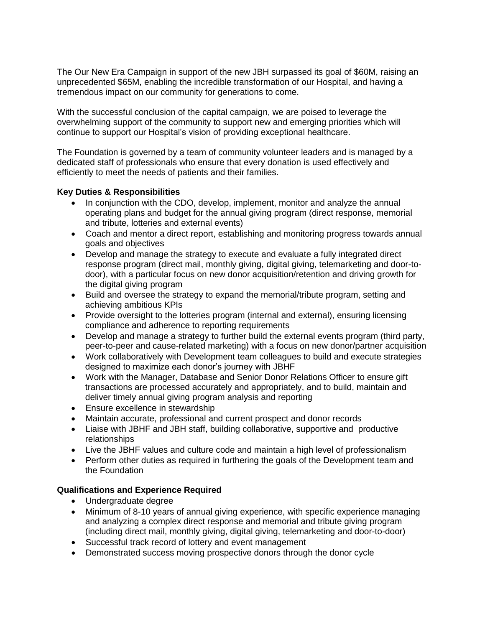The Our New Era Campaign in support of the new JBH surpassed its goal of \$60M, raising an unprecedented \$65M, enabling the incredible transformation of our Hospital, and having a tremendous impact on our community for generations to come.

With the successful conclusion of the capital campaign, we are poised to leverage the overwhelming support of the community to support new and emerging priorities which will continue to support our Hospital's vision of providing exceptional healthcare.

The Foundation is governed by a team of community volunteer leaders and is managed by a dedicated staff of professionals who ensure that every donation is used effectively and efficiently to meet the needs of patients and their families.

# **Key Duties & Responsibilities**

- In conjunction with the CDO, develop, implement, monitor and analyze the annual operating plans and budget for the annual giving program (direct response, memorial and tribute, lotteries and external events)
- Coach and mentor a direct report, establishing and monitoring progress towards annual goals and objectives
- Develop and manage the strategy to execute and evaluate a fully integrated direct response program (direct mail, monthly giving, digital giving, telemarketing and door-todoor), with a particular focus on new donor acquisition/retention and driving growth for the digital giving program
- Build and oversee the strategy to expand the memorial/tribute program, setting and achieving ambitious KPIs
- Provide oversight to the lotteries program (internal and external), ensuring licensing compliance and adherence to reporting requirements
- Develop and manage a strategy to further build the external events program (third party, peer-to-peer and cause-related marketing) with a focus on new donor/partner acquisition
- Work collaboratively with Development team colleagues to build and execute strategies designed to maximize each donor's journey with JBHF
- Work with the Manager, Database and Senior Donor Relations Officer to ensure gift transactions are processed accurately and appropriately, and to build, maintain and deliver timely annual giving program analysis and reporting
- Ensure excellence in stewardship
- Maintain accurate, professional and current prospect and donor records
- Liaise with JBHF and JBH staff, building collaborative, supportive and productive relationships
- Live the JBHF values and culture code and maintain a high level of professionalism
- Perform other duties as required in furthering the goals of the Development team and the Foundation

# **Qualifications and Experience Required**

- Undergraduate degree
- Minimum of 8-10 years of annual giving experience, with specific experience managing and analyzing a complex direct response and memorial and tribute giving program (including direct mail, monthly giving, digital giving, telemarketing and door-to-door)
- Successful track record of lottery and event management
- Demonstrated success moving prospective donors through the donor cycle